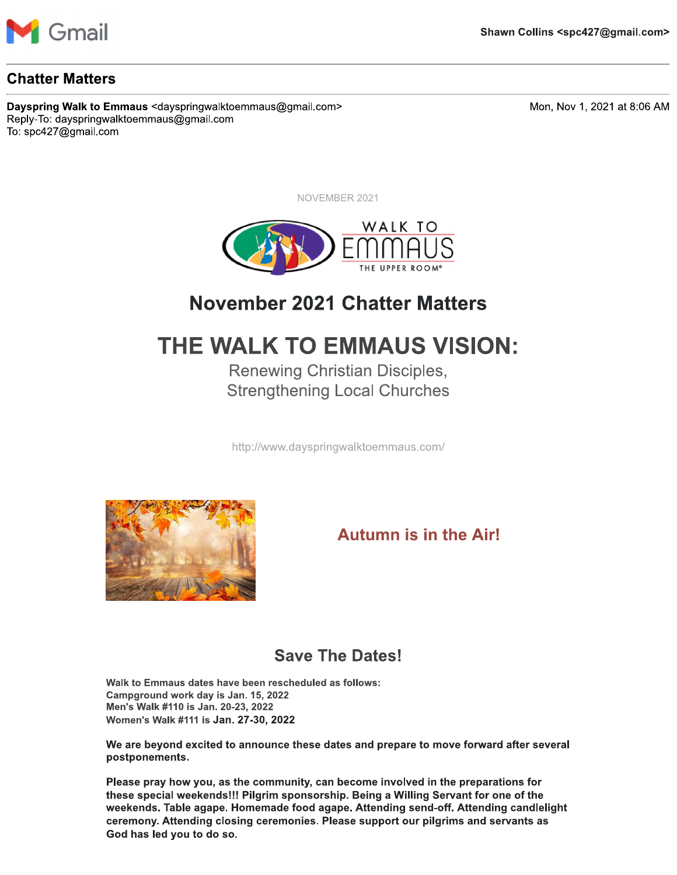

#### **Chatter Matters**

Dayspring Walk to Emmaus <dayspringwalktoemmaus@gmail.com> Reply-To: dayspringwalktoemmaus@gmail.com To: spc427@gmail.com

Mon, Nov 1, 2021 at 8:06 AM

NOVEMBER 2021



# **November 2021 Chatter Matters**

# THE WALK TO EMMAUS VISION:

**Renewing Christian Disciples, Strengthening Local Churches** 

http://www.dayspringwalktoemmaus.com/



## **Autumn is in the Air!**

## **Save The Dates!**

Walk to Emmaus dates have been rescheduled as follows: Campground work day is Jan. 15, 2022 Men's Walk #110 is Jan. 20-23, 2022 Women's Walk #111 is Jan. 27-30, 2022

We are beyond excited to announce these dates and prepare to move forward after several postponements.

Please pray how you, as the community, can become involved in the preparations for these special weekends!!! Pilgrim sponsorship. Being a Willing Servant for one of the weekends. Table agape. Homemade food agape. Attending send-off. Attending candlelight ceremony. Attending closing ceremonies. Please support our pilgrims and servants as God has led you to do so.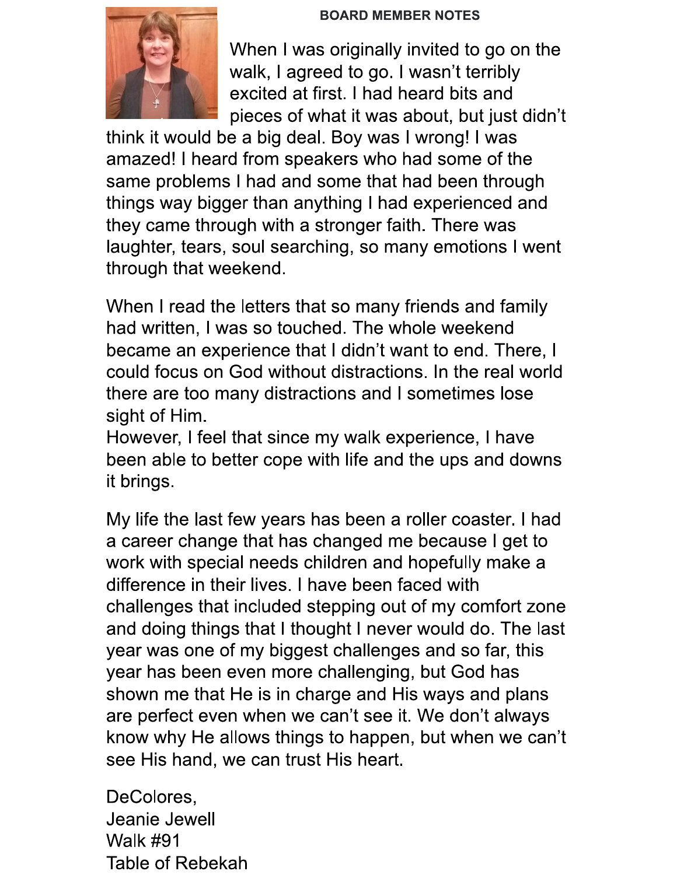#### **BOARD MEMBER NOTES**



When I was originally invited to go on the walk, I agreed to go. I wasn't terribly excited at first. I had heard bits and pieces of what it was about, but just didn't

think it would be a big deal. Boy was I wrong! I was amazed! I heard from speakers who had some of the same problems I had and some that had been through things way bigger than anything I had experienced and they came through with a stronger faith. There was laughter, tears, soul searching, so many emotions I went through that weekend.

When I read the letters that so many friends and family had written, I was so touched. The whole weekend became an experience that I didn't want to end. There, I could focus on God without distractions. In the real world there are too many distractions and I sometimes lose sight of Him.

However, I feel that since my walk experience, I have been able to better cope with life and the ups and downs it brings.

My life the last few years has been a roller coaster. I had a career change that has changed me because I get to work with special needs children and hopefully make a difference in their lives. I have been faced with challenges that included stepping out of my comfort zone and doing things that I thought I never would do. The last year was one of my biggest challenges and so far, this year has been even more challenging, but God has shown me that He is in charge and His ways and plans are perfect even when we can't see it. We don't always know why He allows things to happen, but when we can't see His hand, we can trust His heart.

DeColores, Jeanie Jewell **Walk #91 Table of Rebekah**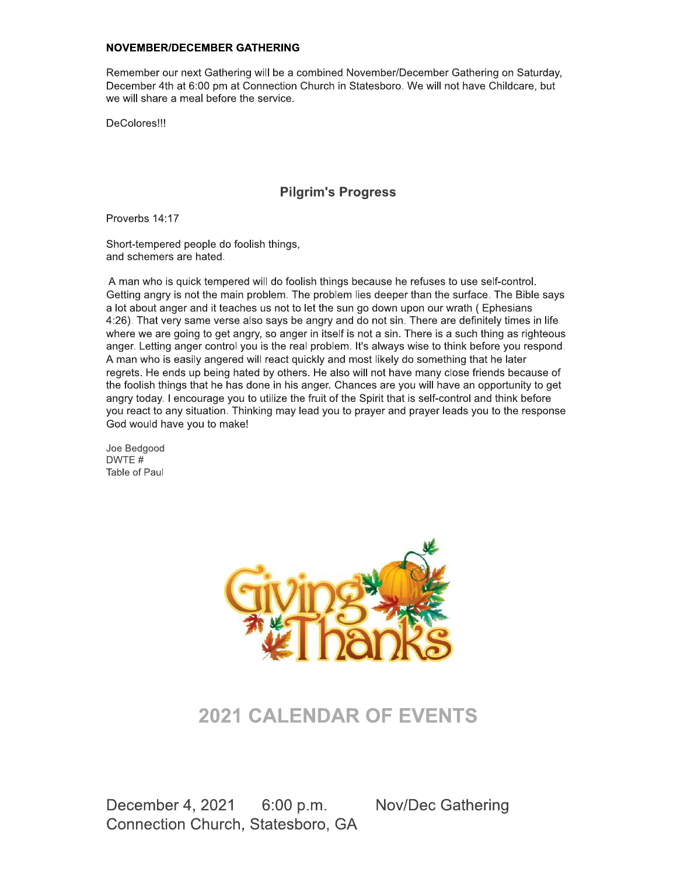#### **NOVEMBER/DECEMBER GATHERING**

Remember our next Gathering will be a combined November/December Gathering on Saturday, December 4th at 6:00 pm at Connection Church in Statesboro. We will not have Childcare, but we will share a meal before the service.

DeColores!!!

#### **Pilgrim's Progress**

Proverbs 14:17

Short-tempered people do foolish things, and schemers are hated.

A man who is quick tempered will do foolish things because he refuses to use self-control. Getting angry is not the main problem. The problem lies deeper than the surface. The Bible says a lot about anger and it teaches us not to let the sun go down upon our wrath (Ephesians 4:26). That very same verse also says be angry and do not sin. There are definitely times in life where we are going to get angry, so anger in itself is not a sin. There is a such thing as righteous anger. Letting anger control you is the real problem. It's always wise to think before you respond. A man who is easily angered will react quickly and most likely do something that he later regrets. He ends up being hated by others. He also will not have many close friends because of the foolish things that he has done in his anger. Chances are you will have an opportunity to get angry today. I encourage you to utilize the fruit of the Spirit that is self-control and think before you react to any situation. Thinking may lead you to prayer and prayer leads you to the response God would have you to make!

Joe Bedgood DWTF# Table of Paul



## **2021 CALENDAR OF EVENTS**

December 4, 2021 6:00 p.m. **Nov/Dec Gathering** Connection Church, Statesboro, GA